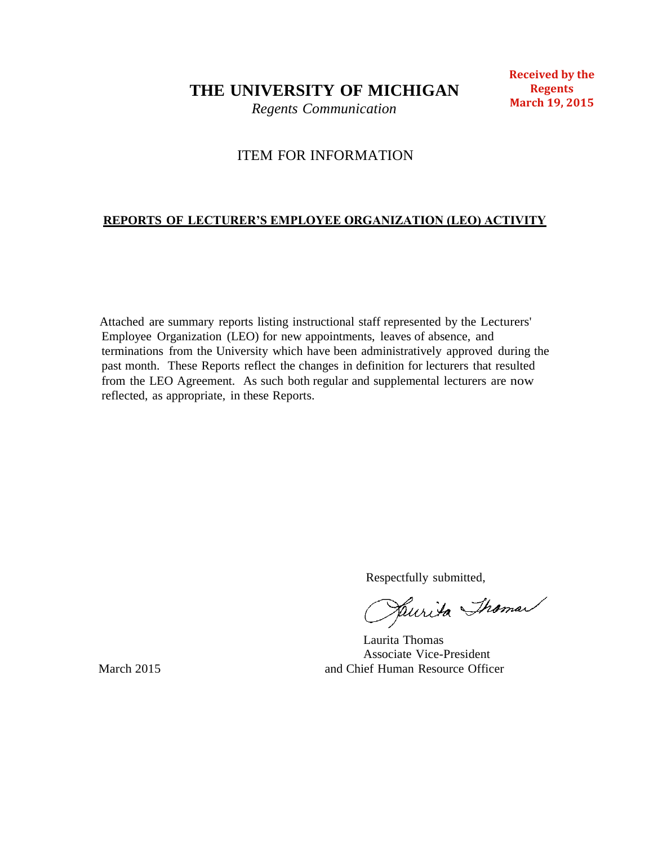**THE UNIVERSITY OF MICHIGAN**

*Regents Communication*

### **Received by the Regents March 19, 2015**

# ITEM FOR INFORMATION

## **REPORTS OF LECTURER'S EMPLOYEE ORGANIZATION (LEO) ACTIVITY**

Attached are summary reports listing instructional staff represented by the Lecturers' Employee Organization (LEO) for new appointments, leaves of absence, and terminations from the University which have been administratively approved during the past month. These Reports reflect the changes in definition for lecturers that resulted from the LEO Agreement. As such both regular and supplemental lecturers are now reflected, as appropriate, in these Reports.

Respectfully submitted,<br>Pullida Shama

Laurita Thomas Associate Vice-President March 2015 **and Chief Human Resource Officer** and Chief Human Resource Officer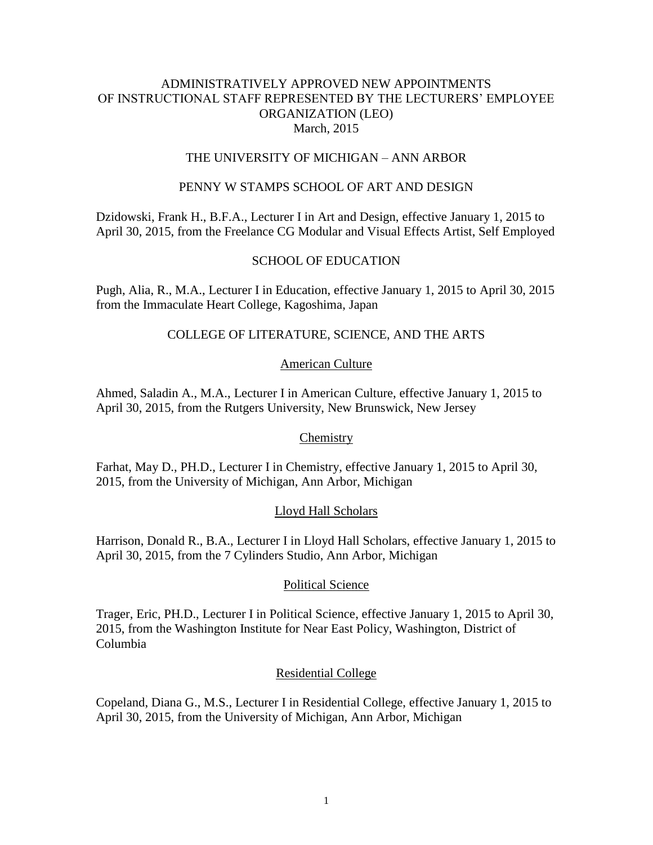#### THE UNIVERSITY OF MICHIGAN – ANN ARBOR

#### PENNY W STAMPS SCHOOL OF ART AND DESIGN

Dzidowski, Frank H., B.F.A., Lecturer I in Art and Design, effective January 1, 2015 to April 30, 2015, from the Freelance CG Modular and Visual Effects Artist, Self Employed

#### SCHOOL OF EDUCATION

Pugh, Alia, R., M.A., Lecturer I in Education, effective January 1, 2015 to April 30, 2015 from the Immaculate Heart College, Kagoshima, Japan

### COLLEGE OF LITERATURE, SCIENCE, AND THE ARTS

#### American Culture

Ahmed, Saladin A., M.A., Lecturer I in American Culture, effective January 1, 2015 to April 30, 2015, from the Rutgers University, New Brunswick, New Jersey

#### **Chemistry**

Farhat, May D., PH.D., Lecturer I in Chemistry, effective January 1, 2015 to April 30, 2015, from the University of Michigan, Ann Arbor, Michigan

#### Lloyd Hall Scholars

Harrison, Donald R., B.A., Lecturer I in Lloyd Hall Scholars, effective January 1, 2015 to April 30, 2015, from the 7 Cylinders Studio, Ann Arbor, Michigan

#### Political Science

Trager, Eric, PH.D., Lecturer I in Political Science, effective January 1, 2015 to April 30, 2015, from the Washington Institute for Near East Policy, Washington, District of Columbia

#### Residential College

Copeland, Diana G., M.S., Lecturer I in Residential College, effective January 1, 2015 to April 30, 2015, from the University of Michigan, Ann Arbor, Michigan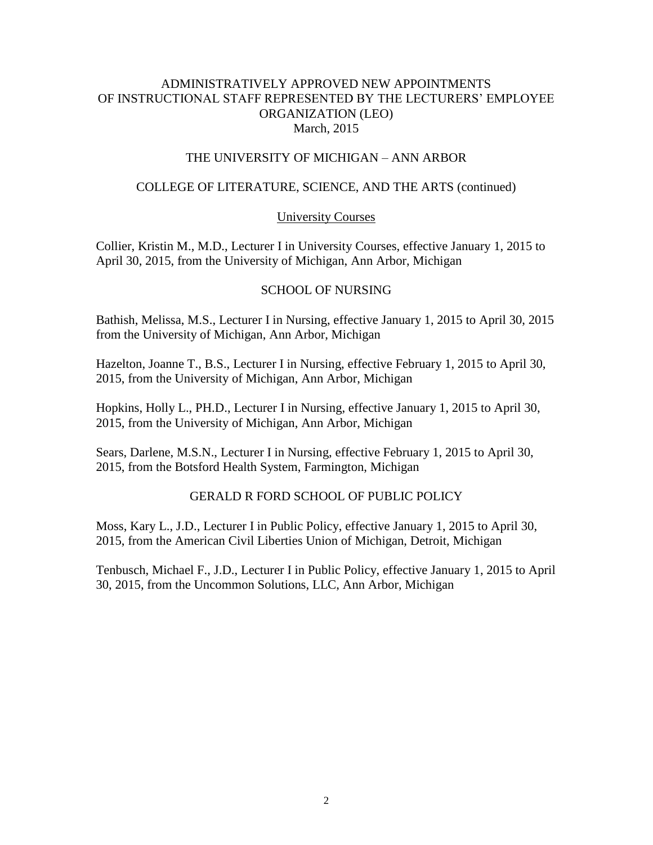### THE UNIVERSITY OF MICHIGAN – ANN ARBOR

## COLLEGE OF LITERATURE, SCIENCE, AND THE ARTS (continued)

### University Courses

Collier, Kristin M., M.D., Lecturer I in University Courses, effective January 1, 2015 to April 30, 2015, from the University of Michigan, Ann Arbor, Michigan

## SCHOOL OF NURSING

Bathish, Melissa, M.S., Lecturer I in Nursing, effective January 1, 2015 to April 30, 2015 from the University of Michigan, Ann Arbor, Michigan

Hazelton, Joanne T., B.S., Lecturer I in Nursing, effective February 1, 2015 to April 30, 2015, from the University of Michigan, Ann Arbor, Michigan

Hopkins, Holly L., PH.D., Lecturer I in Nursing, effective January 1, 2015 to April 30, 2015, from the University of Michigan, Ann Arbor, Michigan

Sears, Darlene, M.S.N., Lecturer I in Nursing, effective February 1, 2015 to April 30, 2015, from the Botsford Health System, Farmington, Michigan

### GERALD R FORD SCHOOL OF PUBLIC POLICY

Moss, Kary L., J.D., Lecturer I in Public Policy, effective January 1, 2015 to April 30, 2015, from the American Civil Liberties Union of Michigan, Detroit, Michigan

Tenbusch, Michael F., J.D., Lecturer I in Public Policy, effective January 1, 2015 to April 30, 2015, from the Uncommon Solutions, LLC, Ann Arbor, Michigan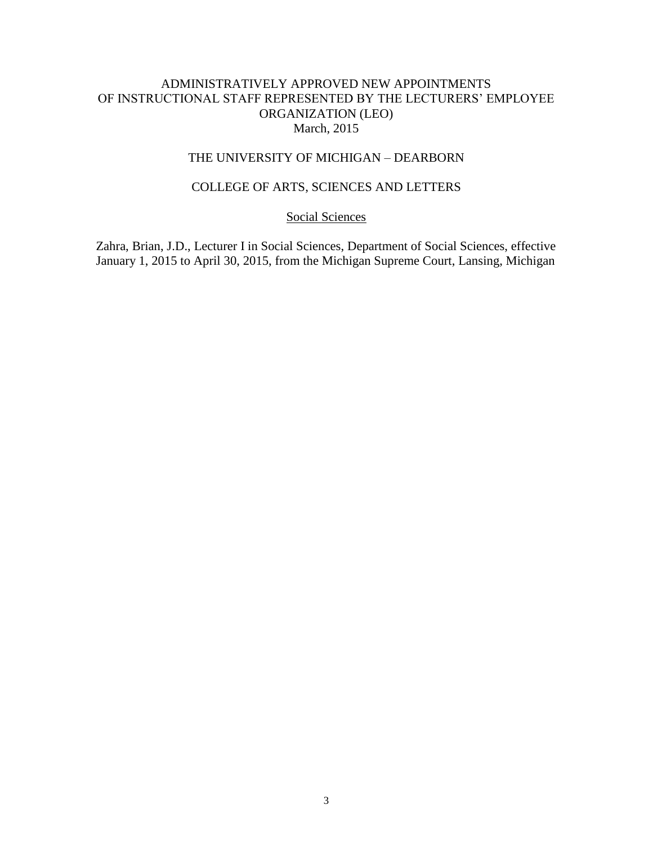## THE UNIVERSITY OF MICHIGAN – DEARBORN

## COLLEGE OF ARTS, SCIENCES AND LETTERS

#### Social Sciences

Zahra, Brian, J.D., Lecturer I in Social Sciences, Department of Social Sciences, effective January 1, 2015 to April 30, 2015, from the Michigan Supreme Court, Lansing, Michigan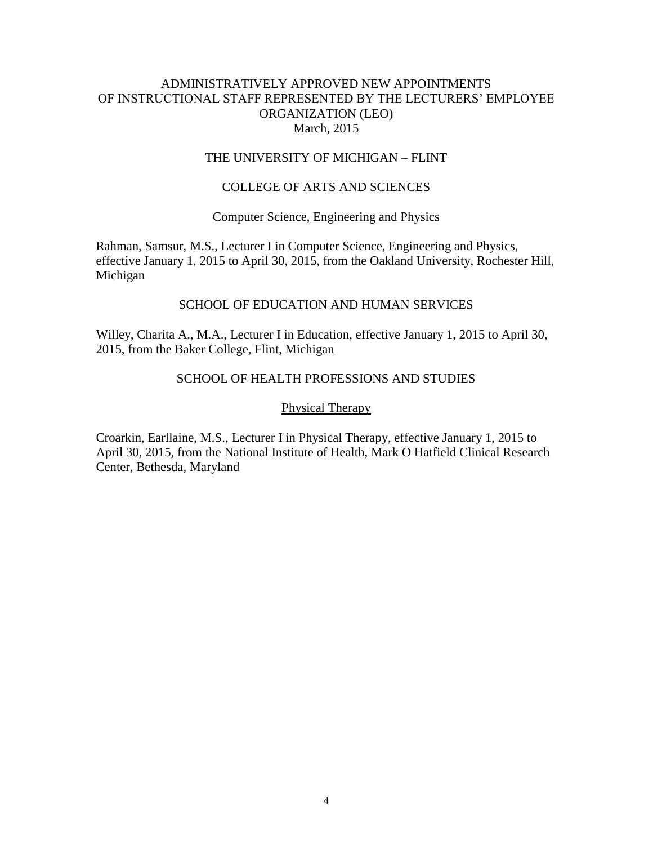### THE UNIVERSITY OF MICHIGAN – FLINT

### COLLEGE OF ARTS AND SCIENCES

#### Computer Science, Engineering and Physics

Rahman, Samsur, M.S., Lecturer I in Computer Science, Engineering and Physics, effective January 1, 2015 to April 30, 2015, from the Oakland University, Rochester Hill, Michigan

#### SCHOOL OF EDUCATION AND HUMAN SERVICES

Willey, Charita A., M.A., Lecturer I in Education, effective January 1, 2015 to April 30, 2015, from the Baker College, Flint, Michigan

## SCHOOL OF HEALTH PROFESSIONS AND STUDIES

#### Physical Therapy

Croarkin, Earllaine, M.S., Lecturer I in Physical Therapy, effective January 1, 2015 to April 30, 2015, from the National Institute of Health, Mark O Hatfield Clinical Research Center, Bethesda, Maryland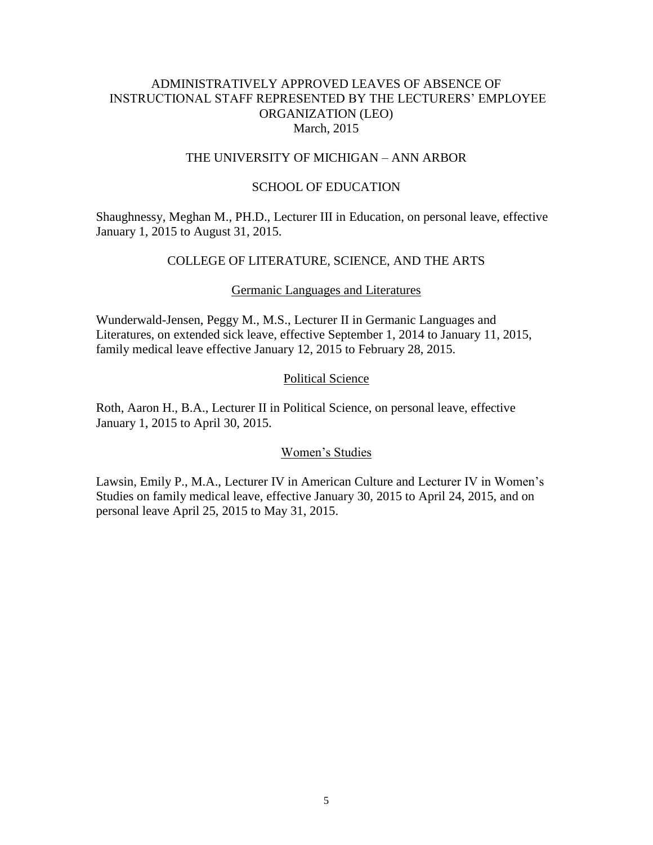## ADMINISTRATIVELY APPROVED LEAVES OF ABSENCE OF INSTRUCTIONAL STAFF REPRESENTED BY THE LECTURERS' EMPLOYEE ORGANIZATION (LEO) March, 2015

### THE UNIVERSITY OF MICHIGAN – ANN ARBOR

#### SCHOOL OF EDUCATION

Shaughnessy, Meghan M., PH.D., Lecturer III in Education, on personal leave, effective January 1, 2015 to August 31, 2015.

### COLLEGE OF LITERATURE, SCIENCE, AND THE ARTS

#### Germanic Languages and Literatures

Wunderwald-Jensen, Peggy M., M.S., Lecturer II in Germanic Languages and Literatures, on extended sick leave, effective September 1, 2014 to January 11, 2015, family medical leave effective January 12, 2015 to February 28, 2015.

### Political Science

Roth, Aaron H., B.A., Lecturer II in Political Science, on personal leave, effective January 1, 2015 to April 30, 2015.

#### Women's Studies

Lawsin, Emily P., M.A., Lecturer IV in American Culture and Lecturer IV in Women's Studies on family medical leave, effective January 30, 2015 to April 24, 2015, and on personal leave April 25, 2015 to May 31, 2015.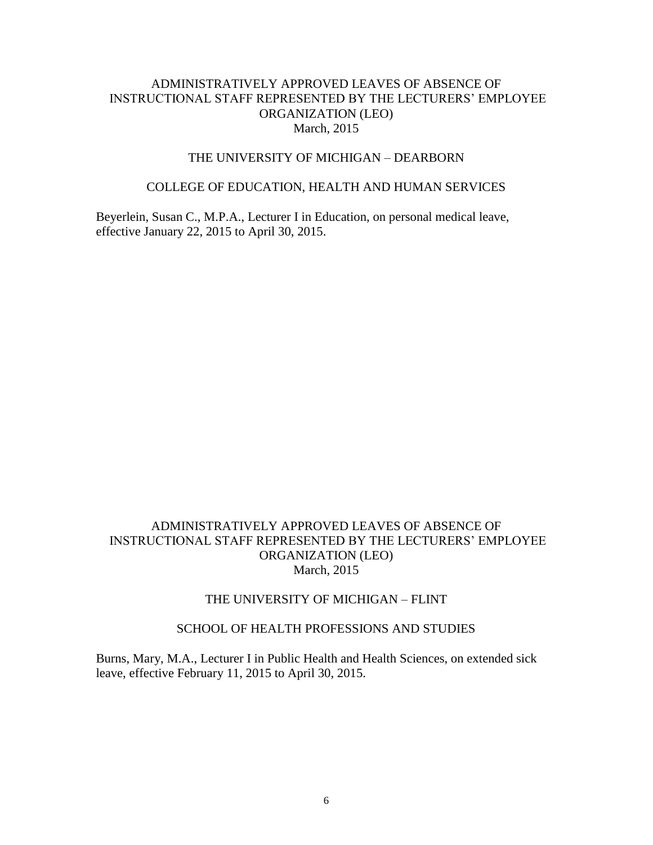## ADMINISTRATIVELY APPROVED LEAVES OF ABSENCE OF INSTRUCTIONAL STAFF REPRESENTED BY THE LECTURERS' EMPLOYEE ORGANIZATION (LEO) March, 2015

#### THE UNIVERSITY OF MICHIGAN – DEARBORN

#### COLLEGE OF EDUCATION, HEALTH AND HUMAN SERVICES

Beyerlein, Susan C., M.P.A., Lecturer I in Education, on personal medical leave, effective January 22, 2015 to April 30, 2015.

## ADMINISTRATIVELY APPROVED LEAVES OF ABSENCE OF INSTRUCTIONAL STAFF REPRESENTED BY THE LECTURERS' EMPLOYEE ORGANIZATION (LEO) March, 2015

### THE UNIVERSITY OF MICHIGAN – FLINT

### SCHOOL OF HEALTH PROFESSIONS AND STUDIES

Burns, Mary, M.A., Lecturer I in Public Health and Health Sciences, on extended sick leave, effective February 11, 2015 to April 30, 2015.